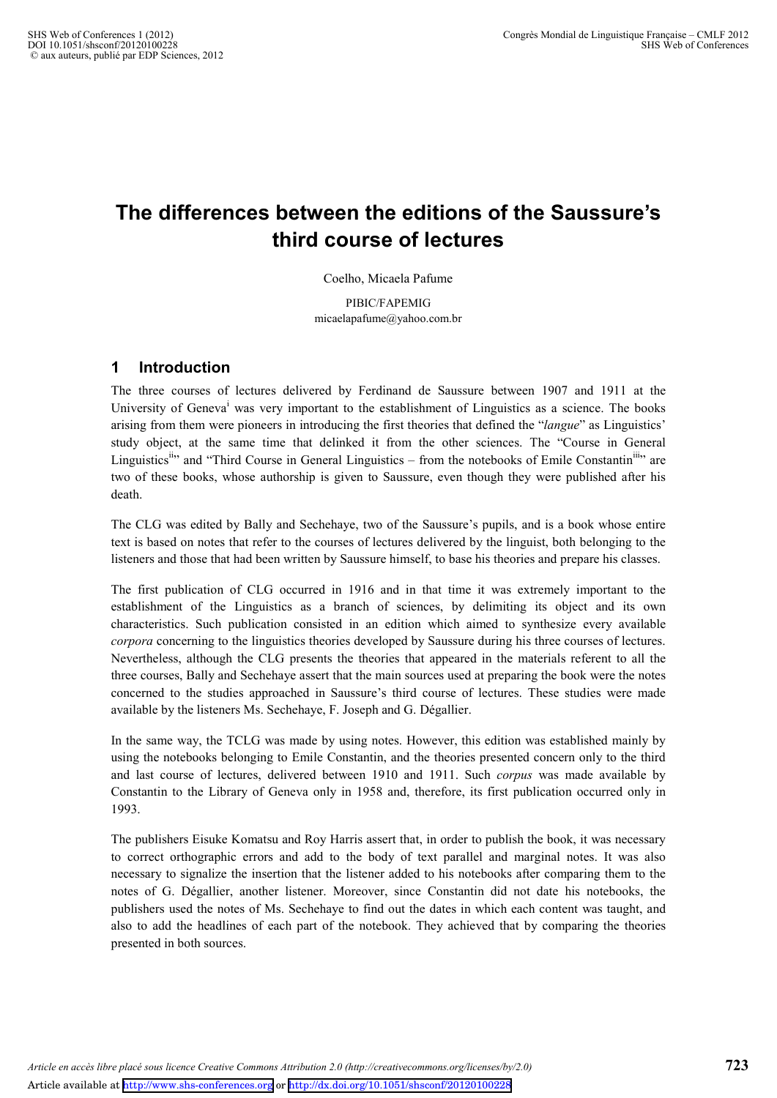# **The differences between the editions of the Saussure's third course of lectures**

Coelho, Micaela Pafume

PIBIC/FAPEMIG micaelapafume@yahoo.com.br

## **1 Introduction**

The three courses of lectures delivered by Ferdinand de Saussure between 1907 and 1911 at the University of Geneva<sup>i</sup> was very important to the establishment of Linguistics as a science. The books arising from them were pioneers in introducing the first theories that defined the "*langue*" as Linguistics' study object, at the same time that delinked it from the other sciences. The "Course in General Linguistics<sup>11</sup> and "Third Course in General Linguistics – from the notebooks of Emile Constantin<sup>111</sup>" are two of these books, whose authorship is given to Saussure, even though they were published after his death.

The CLG was edited by Bally and Sechehaye, two of the Saussure's pupils, and is a book whose entire text is based on notes that refer to the courses of lectures delivered by the linguist, both belonging to the listeners and those that had been written by Saussure himself, to base his theories and prepare his classes.

The first publication of CLG occurred in 1916 and in that time it was extremely important to the establishment of the Linguistics as a branch of sciences, by delimiting its object and its own characteristics. Such publication consisted in an edition which aimed to synthesize every available *corpora* concerning to the linguistics theories developed by Saussure during his three courses of lectures. Nevertheless, although the CLG presents the theories that appeared in the materials referent to all the three courses, Bally and Sechehaye assert that the main sources used at preparing the book were the notes concerned to the studies approached in Saussure's third course of lectures. These studies were made available by the listeners Ms. Sechehaye, F. Joseph and G. Dégallier.

In the same way, the TCLG was made by using notes. However, this edition was established mainly by using the notebooks belonging to Emile Constantin, and the theories presented concern only to the third and last course of lectures, delivered between 1910 and 1911. Such *corpus* was made available by Constantin to the Library of Geneva only in 1958 and, therefore, its first publication occurred only in 1993.

The publishers Eisuke Komatsu and Roy Harris assert that, in order to publish the book, it was necessary to correct orthographic errors and add to the body of text parallel and marginal notes. It was also necessary to signalize the insertion that the listener added to his notebooks after comparing them to the notes of G. Dégallier, another listener. Moreover, since Constantin did not date his notebooks, the publishers used the notes of Ms. Sechehaye to find out the dates in which each content was taught, and also to add the headlines of each part of the notebook. They achieved that by comparing the theories presented in both sources.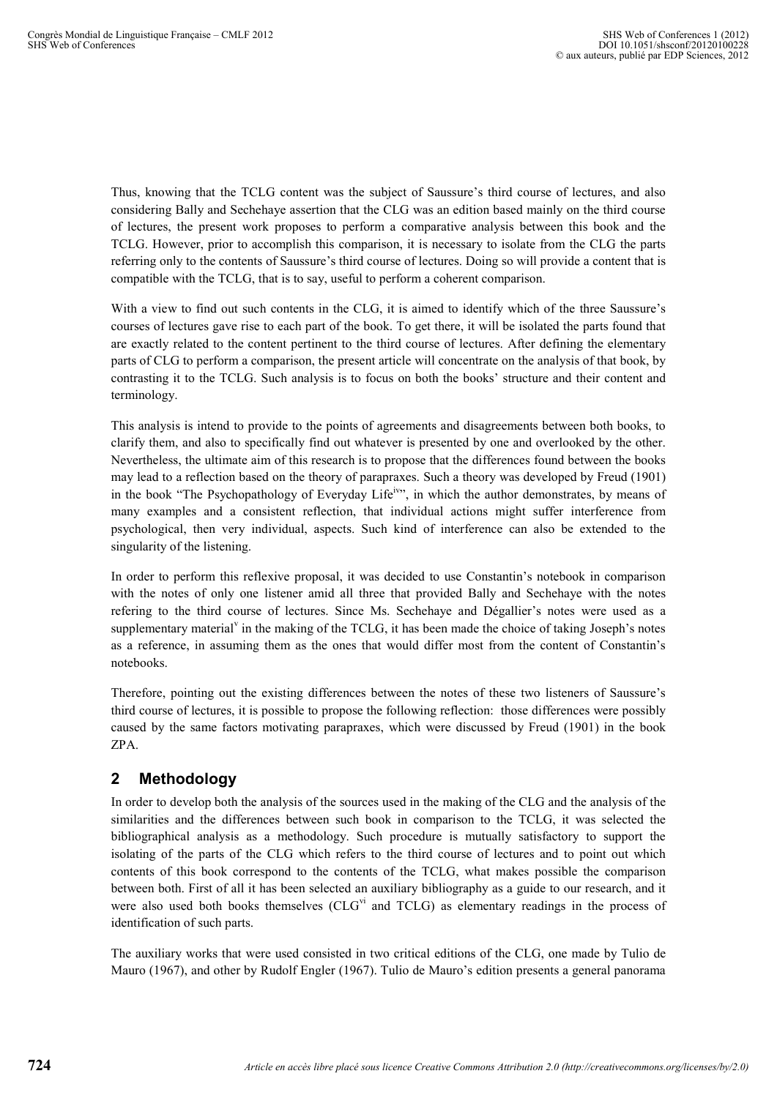Thus, knowing that the TCLG content was the subject of Saussure's third course of lectures, and also considering Bally and Sechehaye assertion that the CLG was an edition based mainly on the third course of lectures, the present work proposes to perform a comparative analysis between this book and the TCLG. However, prior to accomplish this comparison, it is necessary to isolate from the CLG the parts referring only to the contents of Saussure's third course of lectures. Doing so will provide a content that is compatible with the TCLG, that is to say, useful to perform a coherent comparison.

With a view to find out such contents in the CLG, it is aimed to identify which of the three Saussure's courses of lectures gave rise to each part of the book. To get there, it will be isolated the parts found that are exactly related to the content pertinent to the third course of lectures. After defining the elementary parts of CLG to perform a comparison, the present article will concentrate on the analysis of that book, by contrasting it to the TCLG. Such analysis is to focus on both the books' structure and their content and terminology.

This analysis is intend to provide to the points of agreements and disagreements between both books, to clarify them, and also to specifically find out whatever is presented by one and overlooked by the other. Nevertheless, the ultimate aim of this research is to propose that the differences found between the books may lead to a reflection based on the theory of parapraxes. Such a theory was developed by Freud (1901) in the book "The Psychopathology of Everyday Life<sup>iv</sup>", in which the author demonstrates, by means of many examples and a consistent reflection, that individual actions might suffer interference from psychological, then very individual, aspects. Such kind of interference can also be extended to the singularity of the listening.

In order to perform this reflexive proposal, it was decided to use Constantin's notebook in comparison with the notes of only one listener amid all three that provided Bally and Sechehaye with the notes refering to the third course of lectures. Since Ms. Sechehaye and Dégallier's notes were used as a supplementary material<sup>v</sup> in the making of the TCLG, it has been made the choice of taking Joseph's notes as a reference, in assuming them as the ones that would differ most from the content of Constantin's notebooks.

Therefore, pointing out the existing differences between the notes of these two listeners of Saussure's third course of lectures, it is possible to propose the following reflection: those differences were possibly caused by the same factors motivating parapraxes, which were discussed by Freud (1901) in the book ZPA.

## **2 Methodology**

In order to develop both the analysis of the sources used in the making of the CLG and the analysis of the similarities and the differences between such book in comparison to the TCLG, it was selected the bibliographical analysis as a methodology. Such procedure is mutually satisfactory to support the isolating of the parts of the CLG which refers to the third course of lectures and to point out which contents of this book correspond to the contents of the TCLG, what makes possible the comparison between both. First of all it has been selected an auxiliary bibliography as a guide to our research, and it were also used both books themselves  $(CLG<sup>vi</sup>$  and  $TCLG)$  as elementary readings in the process of identification of such parts.

The auxiliary works that were used consisted in two critical editions of the CLG, one made by Tulio de Mauro (1967), and other by Rudolf Engler (1967). Tulio de Mauro's edition presents a general panorama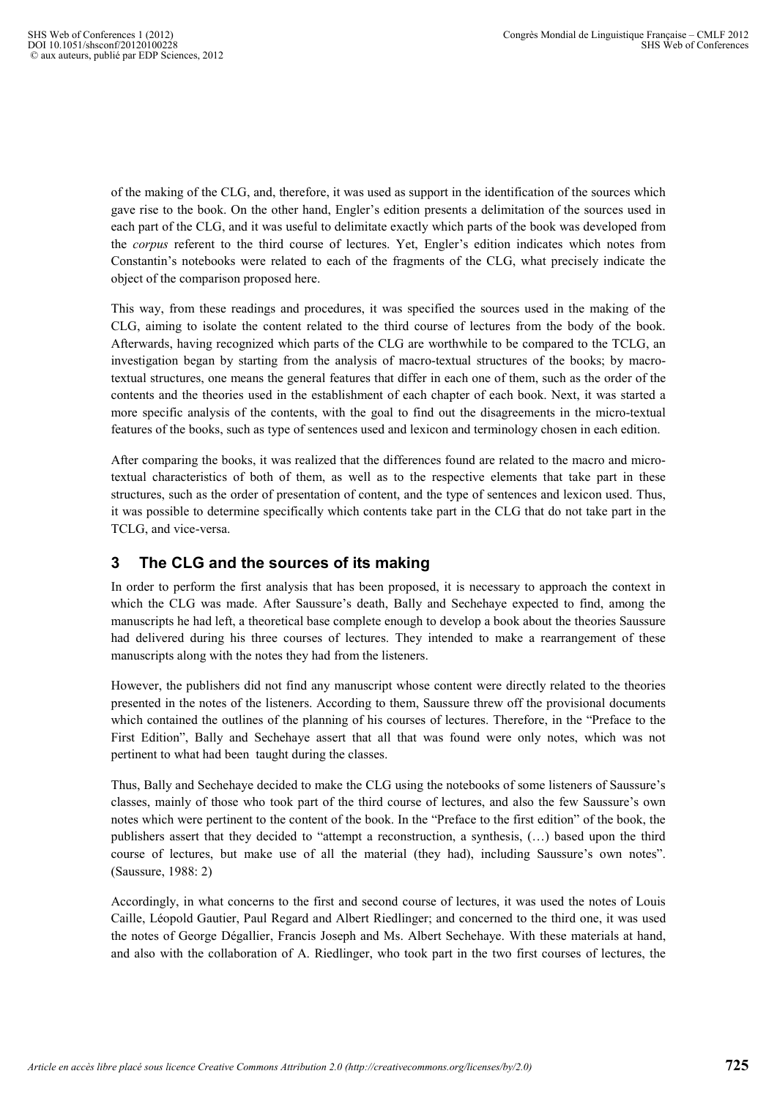of the making of the CLG, and, therefore, it was used as support in the identification of the sources which gave rise to the book. On the other hand, Engler's edition presents a delimitation of the sources used in each part of the CLG, and it was useful to delimitate exactly which parts of the book was developed from the *corpus* referent to the third course of lectures. Yet, Engler's edition indicates which notes from Constantin's notebooks were related to each of the fragments of the CLG, what precisely indicate the object of the comparison proposed here.

This way, from these readings and procedures, it was specified the sources used in the making of the CLG, aiming to isolate the content related to the third course of lectures from the body of the book. Afterwards, having recognized which parts of the CLG are worthwhile to be compared to the TCLG, an investigation began by starting from the analysis of macro-textual structures of the books; by macrotextual structures, one means the general features that differ in each one of them, such as the order of the contents and the theories used in the establishment of each chapter of each book. Next, it was started a more specific analysis of the contents, with the goal to find out the disagreements in the micro-textual features of the books, such as type of sentences used and lexicon and terminology chosen in each edition.

After comparing the books, it was realized that the differences found are related to the macro and microtextual characteristics of both of them, as well as to the respective elements that take part in these structures, such as the order of presentation of content, and the type of sentences and lexicon used. Thus, it was possible to determine specifically which contents take part in the CLG that do not take part in the TCLG, and vice-versa.

## **3 The CLG and the sources of its making**

In order to perform the first analysis that has been proposed, it is necessary to approach the context in which the CLG was made. After Saussure's death, Bally and Sechehaye expected to find, among the manuscripts he had left, a theoretical base complete enough to develop a book about the theories Saussure had delivered during his three courses of lectures. They intended to make a rearrangement of these manuscripts along with the notes they had from the listeners.

However, the publishers did not find any manuscript whose content were directly related to the theories presented in the notes of the listeners. According to them, Saussure threw off the provisional documents which contained the outlines of the planning of his courses of lectures. Therefore, in the "Preface to the First Edition", Bally and Sechehaye assert that all that was found were only notes, which was not pertinent to what had been taught during the classes.

Thus, Bally and Sechehaye decided to make the CLG using the notebooks of some listeners of Saussure's classes, mainly of those who took part of the third course of lectures, and also the few Saussure's own notes which were pertinent to the content of the book. In the "Preface to the first edition" of the book, the publishers assert that they decided to "attempt a reconstruction, a synthesis, (…) based upon the third course of lectures, but make use of all the material (they had), including Saussure's own notes". (Saussure, 1988: 2)

Accordingly, in what concerns to the first and second course of lectures, it was used the notes of Louis Caille, Léopold Gautier, Paul Regard and Albert Riedlinger; and concerned to the third one, it was used the notes of George Dégallier, Francis Joseph and Ms. Albert Sechehaye. With these materials at hand, and also with the collaboration of A. Riedlinger, who took part in the two first courses of lectures, the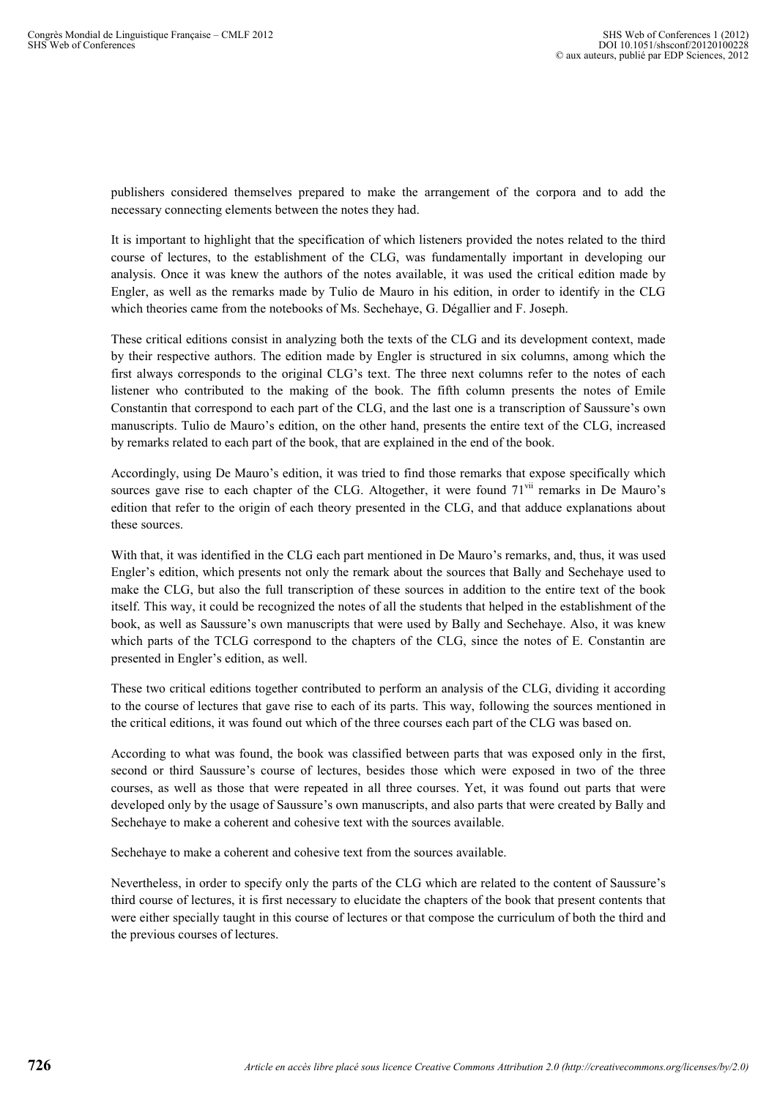publishers considered themselves prepared to make the arrangement of the corpora and to add the necessary connecting elements between the notes they had.

It is important to highlight that the specification of which listeners provided the notes related to the third course of lectures, to the establishment of the CLG, was fundamentally important in developing our analysis. Once it was knew the authors of the notes available, it was used the critical edition made by Engler, as well as the remarks made by Tulio de Mauro in his edition, in order to identify in the CLG which theories came from the notebooks of Ms. Sechehaye, G. Dégallier and F. Joseph.

These critical editions consist in analyzing both the texts of the CLG and its development context, made by their respective authors. The edition made by Engler is structured in six columns, among which the first always corresponds to the original CLG's text. The three next columns refer to the notes of each listener who contributed to the making of the book. The fifth column presents the notes of Emile Constantin that correspond to each part of the CLG, and the last one is a transcription of Saussure's own manuscripts. Tulio de Mauro's edition, on the other hand, presents the entire text of the CLG, increased by remarks related to each part of the book, that are explained in the end of the book.

Accordingly, using De Mauro's edition, it was tried to find those remarks that expose specifically which sources gave rise to each chapter of the CLG. Altogether, it were found  $71<sup>vil</sup>$  remarks in De Mauro's edition that refer to the origin of each theory presented in the CLG, and that adduce explanations about these sources.

With that, it was identified in the CLG each part mentioned in De Mauro's remarks, and, thus, it was used Engler's edition, which presents not only the remark about the sources that Bally and Sechehaye used to make the CLG, but also the full transcription of these sources in addition to the entire text of the book itself. This way, it could be recognized the notes of all the students that helped in the establishment of the book, as well as Saussure's own manuscripts that were used by Bally and Sechehaye. Also, it was knew which parts of the TCLG correspond to the chapters of the CLG, since the notes of E. Constantin are presented in Engler's edition, as well.

These two critical editions together contributed to perform an analysis of the CLG, dividing it according to the course of lectures that gave rise to each of its parts. This way, following the sources mentioned in the critical editions, it was found out which of the three courses each part of the CLG was based on.

According to what was found, the book was classified between parts that was exposed only in the first, second or third Saussure's course of lectures, besides those which were exposed in two of the three courses, as well as those that were repeated in all three courses. Yet, it was found out parts that were developed only by the usage of Saussure's own manuscripts, and also parts that were created by Bally and Sechehaye to make a coherent and cohesive text with the sources available.

Sechehaye to make a coherent and cohesive text from the sources available.

Nevertheless, in order to specify only the parts of the CLG which are related to the content of Saussure's third course of lectures, it is first necessary to elucidate the chapters of the book that present contents that were either specially taught in this course of lectures or that compose the curriculum of both the third and the previous courses of lectures.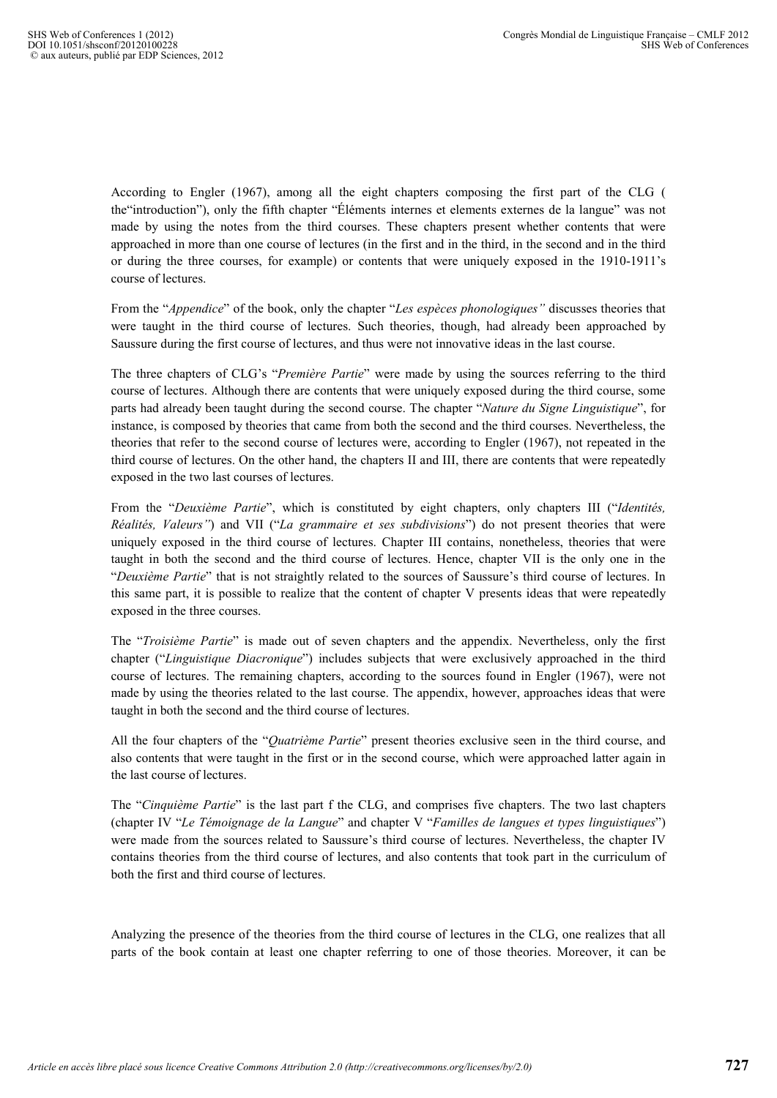According to Engler (1967), among all the eight chapters composing the first part of the CLG ( the"introduction"), only the fifth chapter "Éléments internes et elements externes de la langue" was not made by using the notes from the third courses. These chapters present whether contents that were approached in more than one course of lectures (in the first and in the third, in the second and in the third or during the three courses, for example) or contents that were uniquely exposed in the 1910-1911's course of lectures.

From the "*Appendice*" of the book, only the chapter "*Les espèces phonologiques"* discusses theories that were taught in the third course of lectures. Such theories, though, had already been approached by Saussure during the first course of lectures, and thus were not innovative ideas in the last course.

The three chapters of CLG's "*Première Partie*" were made by using the sources referring to the third course of lectures. Although there are contents that were uniquely exposed during the third course, some parts had already been taught during the second course. The chapter "*Nature du Signe Linguistique*", for instance, is composed by theories that came from both the second and the third courses. Nevertheless, the theories that refer to the second course of lectures were, according to Engler (1967), not repeated in the third course of lectures. On the other hand, the chapters II and III, there are contents that were repeatedly exposed in the two last courses of lectures.

From the "*Deuxième Partie*", which is constituted by eight chapters, only chapters III ("*Identités, Réalités, Valeurs"*) and VII ("*La grammaire et ses subdivisions*") do not present theories that were uniquely exposed in the third course of lectures. Chapter III contains, nonetheless, theories that were taught in both the second and the third course of lectures. Hence, chapter VII is the only one in the "*Deuxième Partie*" that is not straightly related to the sources of Saussure's third course of lectures. In this same part, it is possible to realize that the content of chapter V presents ideas that were repeatedly exposed in the three courses.

The "*Troisième Partie*" is made out of seven chapters and the appendix. Nevertheless, only the first chapter ("*Linguistique Diacronique*") includes subjects that were exclusively approached in the third course of lectures. The remaining chapters, according to the sources found in Engler (1967), were not made by using the theories related to the last course. The appendix, however, approaches ideas that were taught in both the second and the third course of lectures.

All the four chapters of the "*Quatrième Partie*" present theories exclusive seen in the third course, and also contents that were taught in the first or in the second course, which were approached latter again in the last course of lectures.

The "*Cinquième Partie*" is the last part f the CLG, and comprises five chapters. The two last chapters (chapter IV "*Le Témoignage de la Langue*" and chapter V "*Familles de langues et types linguistiques*") were made from the sources related to Saussure's third course of lectures. Nevertheless, the chapter IV contains theories from the third course of lectures, and also contents that took part in the curriculum of both the first and third course of lectures.

Analyzing the presence of the theories from the third course of lectures in the CLG, one realizes that all parts of the book contain at least one chapter referring to one of those theories. Moreover, it can be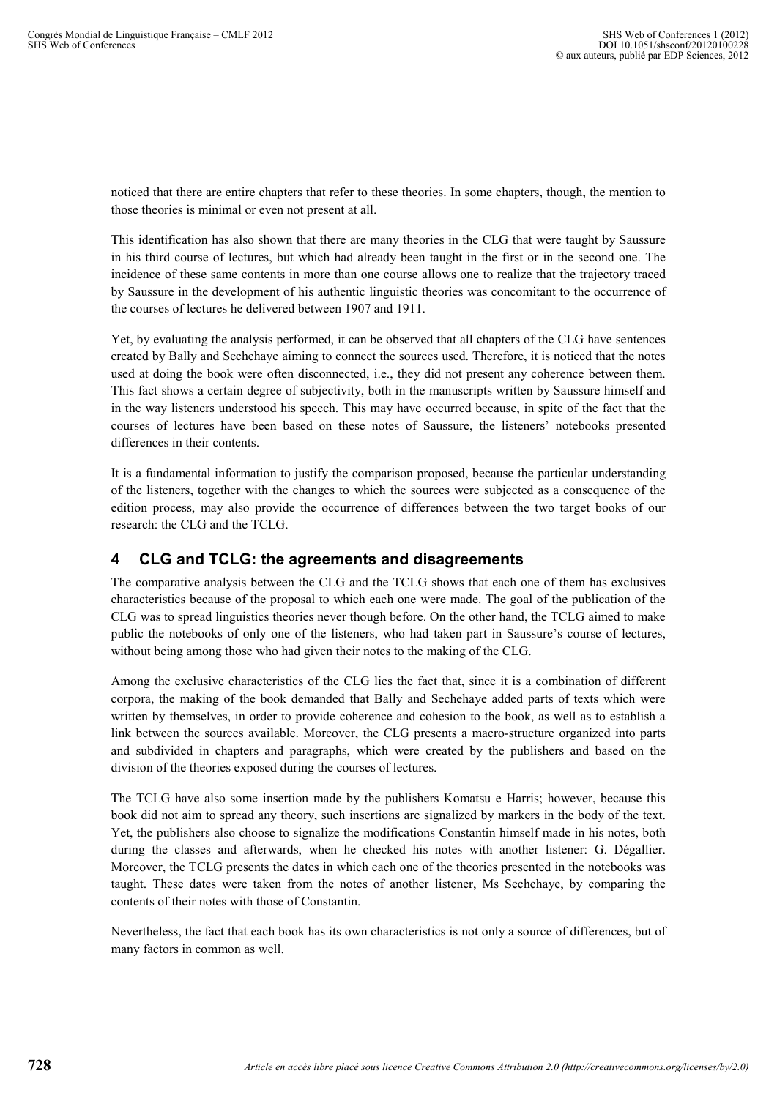noticed that there are entire chapters that refer to these theories. In some chapters, though, the mention to those theories is minimal or even not present at all.

This identification has also shown that there are many theories in the CLG that were taught by Saussure in his third course of lectures, but which had already been taught in the first or in the second one. The incidence of these same contents in more than one course allows one to realize that the trajectory traced by Saussure in the development of his authentic linguistic theories was concomitant to the occurrence of the courses of lectures he delivered between 1907 and 1911.

Yet, by evaluating the analysis performed, it can be observed that all chapters of the CLG have sentences created by Bally and Sechehaye aiming to connect the sources used. Therefore, it is noticed that the notes used at doing the book were often disconnected, i.e., they did not present any coherence between them. This fact shows a certain degree of subjectivity, both in the manuscripts written by Saussure himself and in the way listeners understood his speech. This may have occurred because, in spite of the fact that the courses of lectures have been based on these notes of Saussure, the listeners' notebooks presented differences in their contents.

It is a fundamental information to justify the comparison proposed, because the particular understanding of the listeners, together with the changes to which the sources were subjected as a consequence of the edition process, may also provide the occurrence of differences between the two target books of our research: the CLG and the TCLG.

## **4 CLG and TCLG: the agreements and disagreements**

The comparative analysis between the CLG and the TCLG shows that each one of them has exclusives characteristics because of the proposal to which each one were made. The goal of the publication of the CLG was to spread linguistics theories never though before. On the other hand, the TCLG aimed to make public the notebooks of only one of the listeners, who had taken part in Saussure's course of lectures, without being among those who had given their notes to the making of the CLG.

Among the exclusive characteristics of the CLG lies the fact that, since it is a combination of different corpora, the making of the book demanded that Bally and Sechehaye added parts of texts which were written by themselves, in order to provide coherence and cohesion to the book, as well as to establish a link between the sources available. Moreover, the CLG presents a macro-structure organized into parts and subdivided in chapters and paragraphs, which were created by the publishers and based on the division of the theories exposed during the courses of lectures.

The TCLG have also some insertion made by the publishers Komatsu e Harris; however, because this book did not aim to spread any theory, such insertions are signalized by markers in the body of the text. Yet, the publishers also choose to signalize the modifications Constantin himself made in his notes, both during the classes and afterwards, when he checked his notes with another listener: G. Dégallier. Moreover, the TCLG presents the dates in which each one of the theories presented in the notebooks was taught. These dates were taken from the notes of another listener, Ms Sechehaye, by comparing the contents of their notes with those of Constantin.

Nevertheless, the fact that each book has its own characteristics is not only a source of differences, but of many factors in common as well.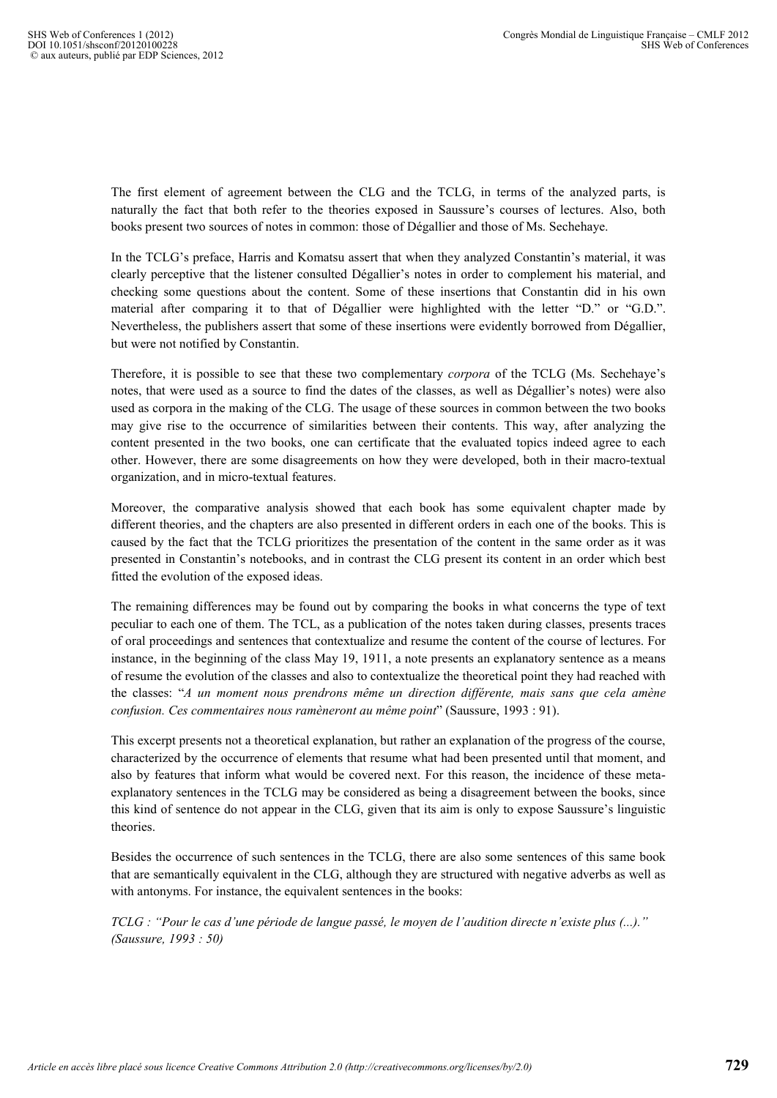The first element of agreement between the CLG and the TCLG, in terms of the analyzed parts, is naturally the fact that both refer to the theories exposed in Saussure's courses of lectures. Also, both books present two sources of notes in common: those of Dégallier and those of Ms. Sechehaye.

In the TCLG's preface, Harris and Komatsu assert that when they analyzed Constantin's material, it was clearly perceptive that the listener consulted Dégallier's notes in order to complement his material, and checking some questions about the content. Some of these insertions that Constantin did in his own material after comparing it to that of Dégallier were highlighted with the letter "D." or "G.D.". Nevertheless, the publishers assert that some of these insertions were evidently borrowed from Dégallier, but were not notified by Constantin.

Therefore, it is possible to see that these two complementary *corpora* of the TCLG (Ms. Sechehaye's notes, that were used as a source to find the dates of the classes, as well as Dégallier's notes) were also used as corpora in the making of the CLG. The usage of these sources in common between the two books may give rise to the occurrence of similarities between their contents. This way, after analyzing the content presented in the two books, one can certificate that the evaluated topics indeed agree to each other. However, there are some disagreements on how they were developed, both in their macro-textual organization, and in micro-textual features.

Moreover, the comparative analysis showed that each book has some equivalent chapter made by different theories, and the chapters are also presented in different orders in each one of the books. This is caused by the fact that the TCLG prioritizes the presentation of the content in the same order as it was presented in Constantin's notebooks, and in contrast the CLG present its content in an order which best fitted the evolution of the exposed ideas.

The remaining differences may be found out by comparing the books in what concerns the type of text peculiar to each one of them. The TCL, as a publication of the notes taken during classes, presents traces of oral proceedings and sentences that contextualize and resume the content of the course of lectures. For instance, in the beginning of the class May 19, 1911, a note presents an explanatory sentence as a means of resume the evolution of the classes and also to contextualize the theoretical point they had reached with the classes: "*A un moment nous prendrons même un direction différente, mais sans que cela amène confusion. Ces commentaires nous ramèneront au même point*" (Saussure, 1993 : 91).

This excerpt presents not a theoretical explanation, but rather an explanation of the progress of the course, characterized by the occurrence of elements that resume what had been presented until that moment, and also by features that inform what would be covered next. For this reason, the incidence of these metaexplanatory sentences in the TCLG may be considered as being a disagreement between the books, since this kind of sentence do not appear in the CLG, given that its aim is only to expose Saussure's linguistic theories.

Besides the occurrence of such sentences in the TCLG, there are also some sentences of this same book that are semantically equivalent in the CLG, although they are structured with negative adverbs as well as with antonyms. For instance, the equivalent sentences in the books:

*TCLG : "Pour le cas d'une période de langue passé, le moyen de l'audition directe n'existe plus (...)." (Saussure, 1993 : 50)*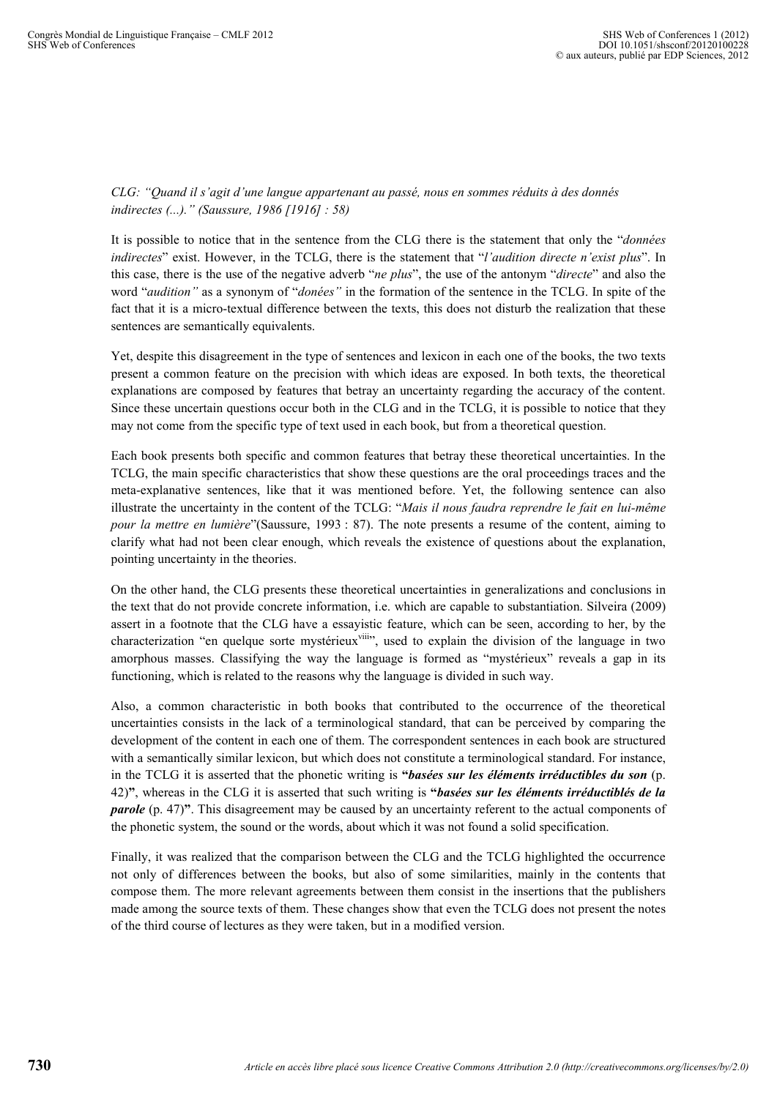#### *CLG: "Quand il s'agit d'une langue appartenant au passé, nous en sommes réduits à des donnés indirectes (...)." (Saussure, 1986 [1916] : 58)*

It is possible to notice that in the sentence from the CLG there is the statement that only the "*données indirectes*" exist. However, in the TCLG, there is the statement that "*l'audition directe n'exist plus*". In this case, there is the use of the negative adverb "*ne plus*", the use of the antonym "*directe*" and also the word "*audition"* as a synonym of "*donées"* in the formation of the sentence in the TCLG. In spite of the fact that it is a micro-textual difference between the texts, this does not disturb the realization that these sentences are semantically equivalents.

Yet, despite this disagreement in the type of sentences and lexicon in each one of the books, the two texts present a common feature on the precision with which ideas are exposed. In both texts, the theoretical explanations are composed by features that betray an uncertainty regarding the accuracy of the content. Since these uncertain questions occur both in the CLG and in the TCLG, it is possible to notice that they may not come from the specific type of text used in each book, but from a theoretical question.

Each book presents both specific and common features that betray these theoretical uncertainties. In the TCLG, the main specific characteristics that show these questions are the oral proceedings traces and the meta-explanative sentences, like that it was mentioned before. Yet, the following sentence can also illustrate the uncertainty in the content of the TCLG: "*Mais il nous faudra reprendre le fait en lui-même pour la mettre en lumière*"(Saussure, 1993 : 87). The note presents a resume of the content, aiming to clarify what had not been clear enough, which reveals the existence of questions about the explanation, pointing uncertainty in the theories.

On the other hand, the CLG presents these theoretical uncertainties in generalizations and conclusions in the text that do not provide concrete information, i.e. which are capable to substantiation. Silveira (2009) assert in a footnote that the CLG have a essayistic feature, which can be seen, according to her, by the characterization "en quelque sorte mystérieux"iii", used to explain the division of the language in two amorphous masses. Classifying the way the language is formed as "mystérieux" reveals a gap in its functioning, which is related to the reasons why the language is divided in such way.

Also, a common characteristic in both books that contributed to the occurrence of the theoretical uncertainties consists in the lack of a terminological standard, that can be perceived by comparing the development of the content in each one of them. The correspondent sentences in each book are structured with a semantically similar lexicon, but which does not constitute a terminological standard. For instance, in the TCLG it is asserted that the phonetic writing is **"***basées sur les éléments irréductibles du son* (p. 42)**"**, whereas in the CLG it is asserted that such writing is **"***basées sur les éléments irréductiblés de la parole* (p. 47)<sup>"</sup>. This disagreement may be caused by an uncertainty referent to the actual components of the phonetic system, the sound or the words, about which it was not found a solid specification.

Finally, it was realized that the comparison between the CLG and the TCLG highlighted the occurrence not only of differences between the books, but also of some similarities, mainly in the contents that compose them. The more relevant agreements between them consist in the insertions that the publishers made among the source texts of them. These changes show that even the TCLG does not present the notes of the third course of lectures as they were taken, but in a modified version.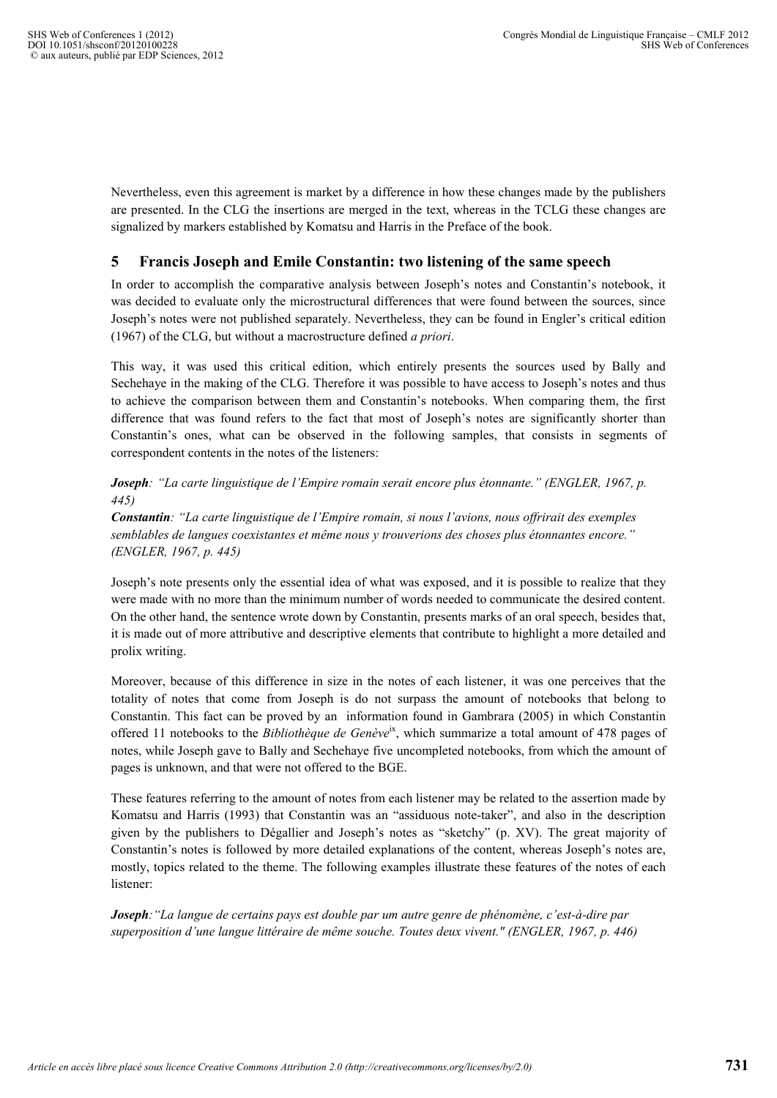Nevertheless, even this agreement is market by a difference in how these changes made by the publishers are presented. In the CLG the insertions are merged in the text, whereas in the TCLG these changes are signalized by markers established by Komatsu and Harris in the Preface of the book.

#### **5 Francis Joseph and Emile Constantin: two listening of the same speech**

In order to accomplish the comparative analysis between Joseph's notes and Constantin's notebook, it was decided to evaluate only the microstructural differences that were found between the sources, since Joseph's notes were not published separately. Nevertheless, they can be found in Engler's critical edition (1967) of the CLG, but without a macrostructure defined *a priori*.

This way, it was used this critical edition, which entirely presents the sources used by Bally and Sechehaye in the making of the CLG. Therefore it was possible to have access to Joseph's notes and thus to achieve the comparison between them and Constantin's notebooks. When comparing them, the first difference that was found refers to the fact that most of Joseph's notes are significantly shorter than Constantin's ones, what can be observed in the following samples, that consists in segments of correspondent contents in the notes of the listeners:

*Joseph: "La carte linguistique de l'Empire romain serait encore plus étonnante." (ENGLER, 1967, p. 445)* 

*Constantin: "La carte linguistique de l'Empire romain, si nous l'avions, nous offrirait des exemples semblables de langues coexistantes et même nous y trouverions des choses plus étonnantes encore." (ENGLER, 1967, p. 445)* 

Joseph's note presents only the essential idea of what was exposed, and it is possible to realize that they were made with no more than the minimum number of words needed to communicate the desired content. On the other hand, the sentence wrote down by Constantin, presents marks of an oral speech, besides that, it is made out of more attributive and descriptive elements that contribute to highlight a more detailed and prolix writing.

Moreover, because of this difference in size in the notes of each listener, it was one perceives that the totality of notes that come from Joseph is do not surpass the amount of notebooks that belong to Constantin. This fact can be proved by an information found in Gambrara (2005) in which Constantin offered 11 notebooks to the *Bibliothèque de Genève*ix, which summarize a total amount of 478 pages of notes, while Joseph gave to Bally and Sechehaye five uncompleted notebooks, from which the amount of pages is unknown, and that were not offered to the BGE.

These features referring to the amount of notes from each listener may be related to the assertion made by Komatsu and Harris (1993) that Constantin was an "assiduous note-taker", and also in the description given by the publishers to Dégallier and Joseph's notes as "sketchy" (p. XV). The great majority of Constantin's notes is followed by more detailed explanations of the content, whereas Joseph's notes are, mostly, topics related to the theme. The following examples illustrate these features of the notes of each listener:

*Joseph:"La langue de certains pays est double par um autre genre de phénomène, c'est-à-dire par superposition d'une langue littéraire de même souche. Toutes deux vivent." (ENGLER, 1967, p. 446)*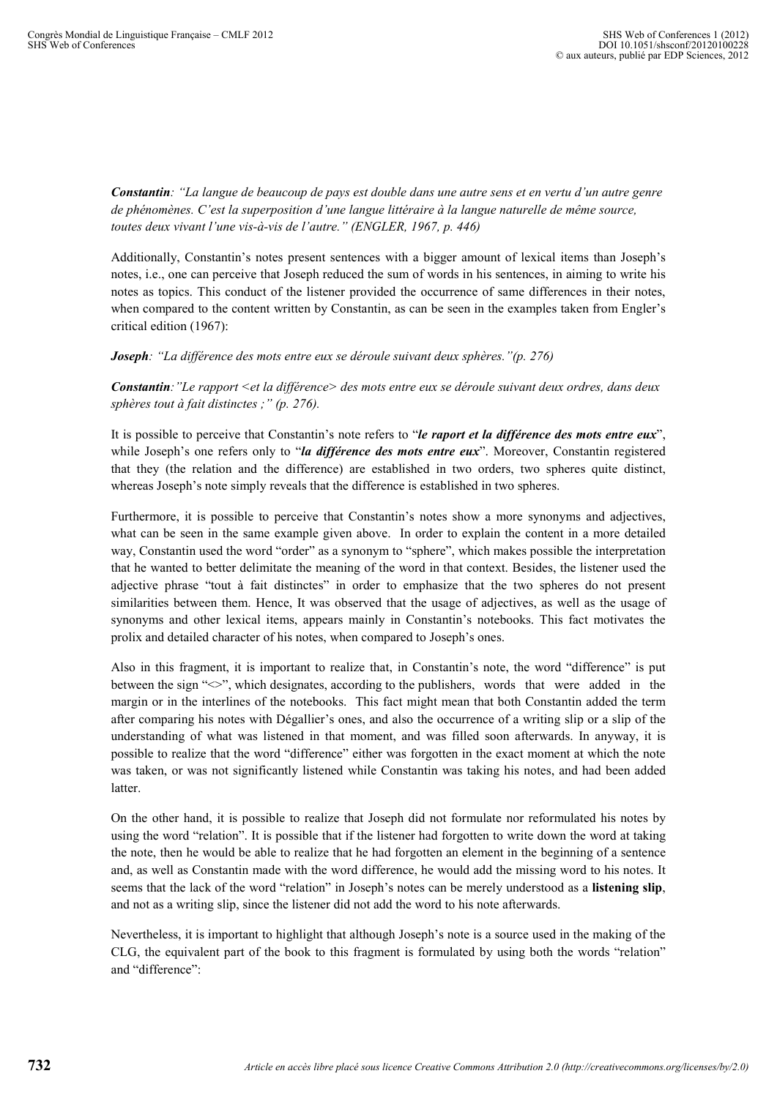*Constantin: "La langue de beaucoup de pays est double dans une autre sens et en vertu d'un autre genre de phénomènes. C'est la superposition d'une langue littéraire à la langue naturelle de même source, toutes deux vivant l'une vis-à-vis de l'autre." (ENGLER, 1967, p. 446)* 

Additionally, Constantin's notes present sentences with a bigger amount of lexical items than Joseph's notes, i.e., one can perceive that Joseph reduced the sum of words in his sentences, in aiming to write his notes as topics. This conduct of the listener provided the occurrence of same differences in their notes, when compared to the content written by Constantin, as can be seen in the examples taken from Engler's critical edition (1967):

*Joseph: "La différence des mots entre eux se déroule suivant deux sphères."(p. 276)* 

*Constantin:"Le rapport <et la différence> des mots entre eux se déroule suivant deux ordres, dans deux sphères tout à fait distinctes ;" (p. 276).* 

It is possible to perceive that Constantin's note refers to "*le raport et la différence des mots entre eux*", while Joseph's one refers only to "*la différence des mots entre eux*". Moreover, Constantin registered that they (the relation and the difference) are established in two orders, two spheres quite distinct, whereas Joseph's note simply reveals that the difference is established in two spheres.

Furthermore, it is possible to perceive that Constantin's notes show a more synonyms and adjectives, what can be seen in the same example given above. In order to explain the content in a more detailed way, Constantin used the word "order" as a synonym to "sphere", which makes possible the interpretation that he wanted to better delimitate the meaning of the word in that context. Besides, the listener used the adjective phrase "tout à fait distinctes" in order to emphasize that the two spheres do not present similarities between them. Hence, It was observed that the usage of adjectives, as well as the usage of synonyms and other lexical items, appears mainly in Constantin's notebooks. This fact motivates the prolix and detailed character of his notes, when compared to Joseph's ones.

Also in this fragment, it is important to realize that, in Constantin's note, the word "difference" is put between the sign " $\leq$ ", which designates, according to the publishers, words that were added in the margin or in the interlines of the notebooks. This fact might mean that both Constantin added the term after comparing his notes with Dégallier's ones, and also the occurrence of a writing slip or a slip of the understanding of what was listened in that moment, and was filled soon afterwards. In anyway, it is possible to realize that the word "difference" either was forgotten in the exact moment at which the note was taken, or was not significantly listened while Constantin was taking his notes, and had been added **latter** 

On the other hand, it is possible to realize that Joseph did not formulate nor reformulated his notes by using the word "relation". It is possible that if the listener had forgotten to write down the word at taking the note, then he would be able to realize that he had forgotten an element in the beginning of a sentence and, as well as Constantin made with the word difference, he would add the missing word to his notes. It seems that the lack of the word "relation" in Joseph's notes can be merely understood as a **listening slip**, and not as a writing slip, since the listener did not add the word to his note afterwards.

Nevertheless, it is important to highlight that although Joseph's note is a source used in the making of the CLG, the equivalent part of the book to this fragment is formulated by using both the words "relation" and "difference":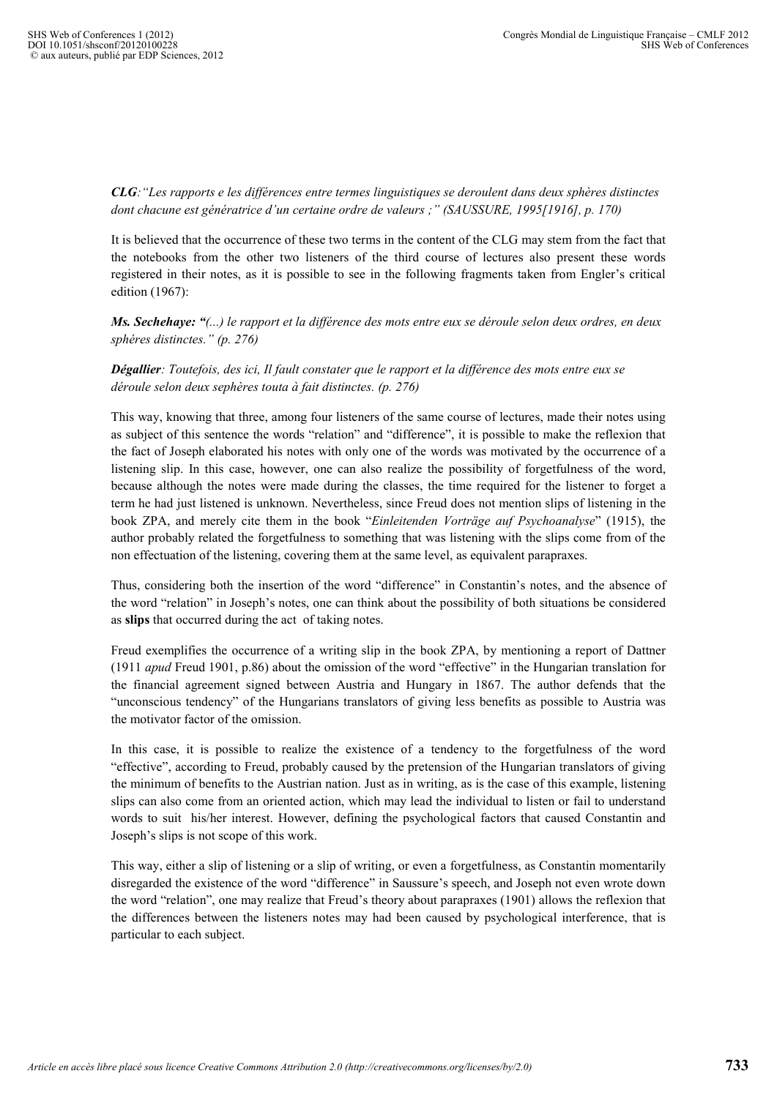*CLG:"Les rapports e les différences entre termes linguistiques se deroulent dans deux sphères distinctes dont chacune est génératrice d'un certaine ordre de valeurs ;" (SAUSSURE, 1995[1916], p. 170)* 

It is believed that the occurrence of these two terms in the content of the CLG may stem from the fact that the notebooks from the other two listeners of the third course of lectures also present these words registered in their notes, as it is possible to see in the following fragments taken from Engler's critical edition (1967):

*Ms. Sechehaye: "(...) le rapport et la différence des mots entre eux se déroule selon deux ordres, en deux sphéres distinctes." (p. 276)* 

*Dégallier: Toutefois, des ici, Il fault constater que le rapport et la différence des mots entre eux se déroule selon deux sephères touta à fait distinctes. (p. 276)* 

This way, knowing that three, among four listeners of the same course of lectures, made their notes using as subject of this sentence the words "relation" and "difference", it is possible to make the reflexion that the fact of Joseph elaborated his notes with only one of the words was motivated by the occurrence of a listening slip. In this case, however, one can also realize the possibility of forgetfulness of the word, because although the notes were made during the classes, the time required for the listener to forget a term he had just listened is unknown. Nevertheless, since Freud does not mention slips of listening in the book ZPA, and merely cite them in the book "*Einleitenden Vorträge auf Psychoanalyse*" (1915), the author probably related the forgetfulness to something that was listening with the slips come from of the non effectuation of the listening, covering them at the same level, as equivalent parapraxes.

Thus, considering both the insertion of the word "difference" in Constantin's notes, and the absence of the word "relation" in Joseph's notes, one can think about the possibility of both situations be considered as **slips** that occurred during the act of taking notes.

Freud exemplifies the occurrence of a writing slip in the book ZPA, by mentioning a report of Dattner (1911 *apud* Freud 1901, p.86) about the omission of the word "effective" in the Hungarian translation for the financial agreement signed between Austria and Hungary in 1867. The author defends that the "unconscious tendency" of the Hungarians translators of giving less benefits as possible to Austria was the motivator factor of the omission.

In this case, it is possible to realize the existence of a tendency to the forgetfulness of the word "effective", according to Freud, probably caused by the pretension of the Hungarian translators of giving the minimum of benefits to the Austrian nation. Just as in writing, as is the case of this example, listening slips can also come from an oriented action, which may lead the individual to listen or fail to understand words to suit his/her interest. However, defining the psychological factors that caused Constantin and Joseph's slips is not scope of this work.

This way, either a slip of listening or a slip of writing, or even a forgetfulness, as Constantin momentarily disregarded the existence of the word "difference" in Saussure's speech, and Joseph not even wrote down the word "relation", one may realize that Freud's theory about parapraxes (1901) allows the reflexion that the differences between the listeners notes may had been caused by psychological interference, that is particular to each subject.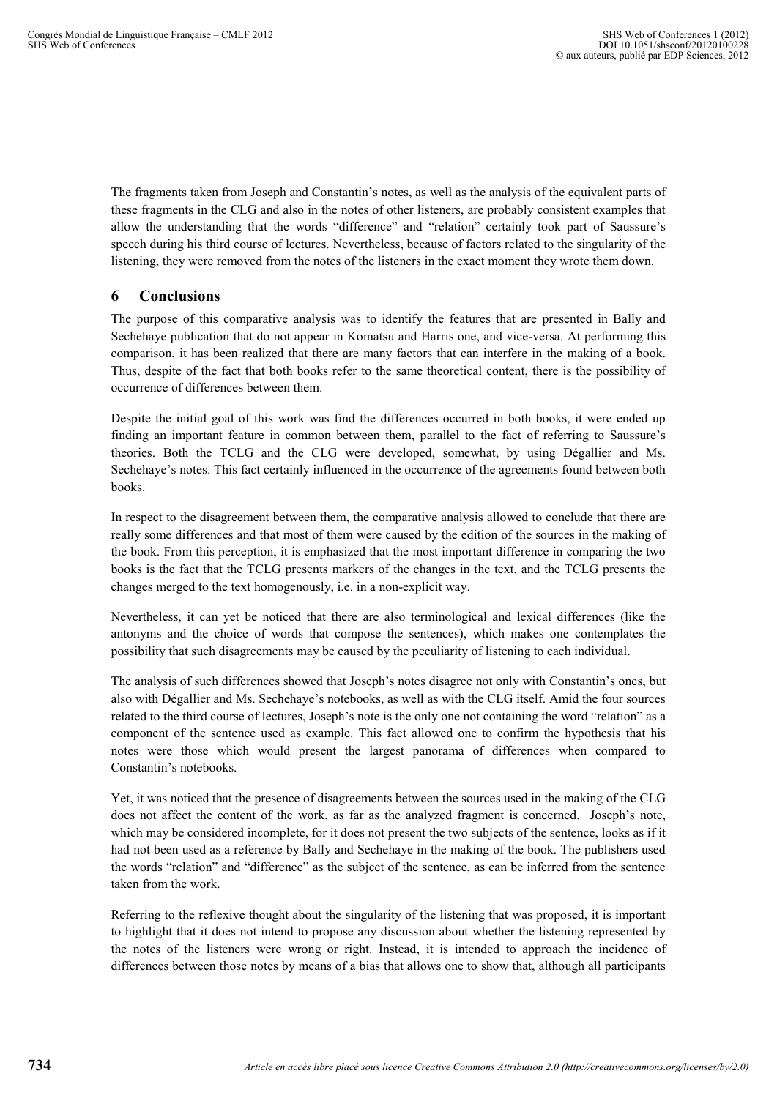The fragments taken from Joseph and Constantin's notes, as well as the analysis of the equivalent parts of these fragments in the CLG and also in the notes of other listeners, are probably consistent examples that allow the understanding that the words "difference" and "relation" certainly took part of Saussure's speech during his third course of lectures. Nevertheless, because of factors related to the singularity of the listening, they were removed from the notes of the listeners in the exact moment they wrote them down.

## **6 Conclusions**

The purpose of this comparative analysis was to identify the features that are presented in Bally and Sechehaye publication that do not appear in Komatsu and Harris one, and vice-versa. At performing this comparison, it has been realized that there are many factors that can interfere in the making of a book. Thus, despite of the fact that both books refer to the same theoretical content, there is the possibility of occurrence of differences between them.

Despite the initial goal of this work was find the differences occurred in both books, it were ended up finding an important feature in common between them, parallel to the fact of referring to Saussure's theories. Both the TCLG and the CLG were developed, somewhat, by using Dégallier and Ms. Sechehaye's notes. This fact certainly influenced in the occurrence of the agreements found between both books.

In respect to the disagreement between them, the comparative analysis allowed to conclude that there are really some differences and that most of them were caused by the edition of the sources in the making of the book. From this perception, it is emphasized that the most important difference in comparing the two books is the fact that the TCLG presents markers of the changes in the text, and the TCLG presents the changes merged to the text homogenously, i.e. in a non-explicit way.

Nevertheless, it can yet be noticed that there are also terminological and lexical differences (like the antonyms and the choice of words that compose the sentences), which makes one contemplates the possibility that such disagreements may be caused by the peculiarity of listening to each individual.

The analysis of such differences showed that Joseph's notes disagree not only with Constantin's ones, but also with Dégallier and Ms. Sechehaye's notebooks, as well as with the CLG itself. Amid the four sources related to the third course of lectures, Joseph's note is the only one not containing the word "relation" as a component of the sentence used as example. This fact allowed one to confirm the hypothesis that his notes were those which would present the largest panorama of differences when compared to Constantin's notebooks.

Yet, it was noticed that the presence of disagreements between the sources used in the making of the CLG does not affect the content of the work, as far as the analyzed fragment is concerned. Joseph's note, which may be considered incomplete, for it does not present the two subjects of the sentence, looks as if it had not been used as a reference by Bally and Sechehaye in the making of the book. The publishers used the words "relation" and "difference" as the subject of the sentence, as can be inferred from the sentence taken from the work.

Referring to the reflexive thought about the singularity of the listening that was proposed, it is important to highlight that it does not intend to propose any discussion about whether the listening represented by the notes of the listeners were wrong or right. Instead, it is intended to approach the incidence of differences between those notes by means of a bias that allows one to show that, although all participants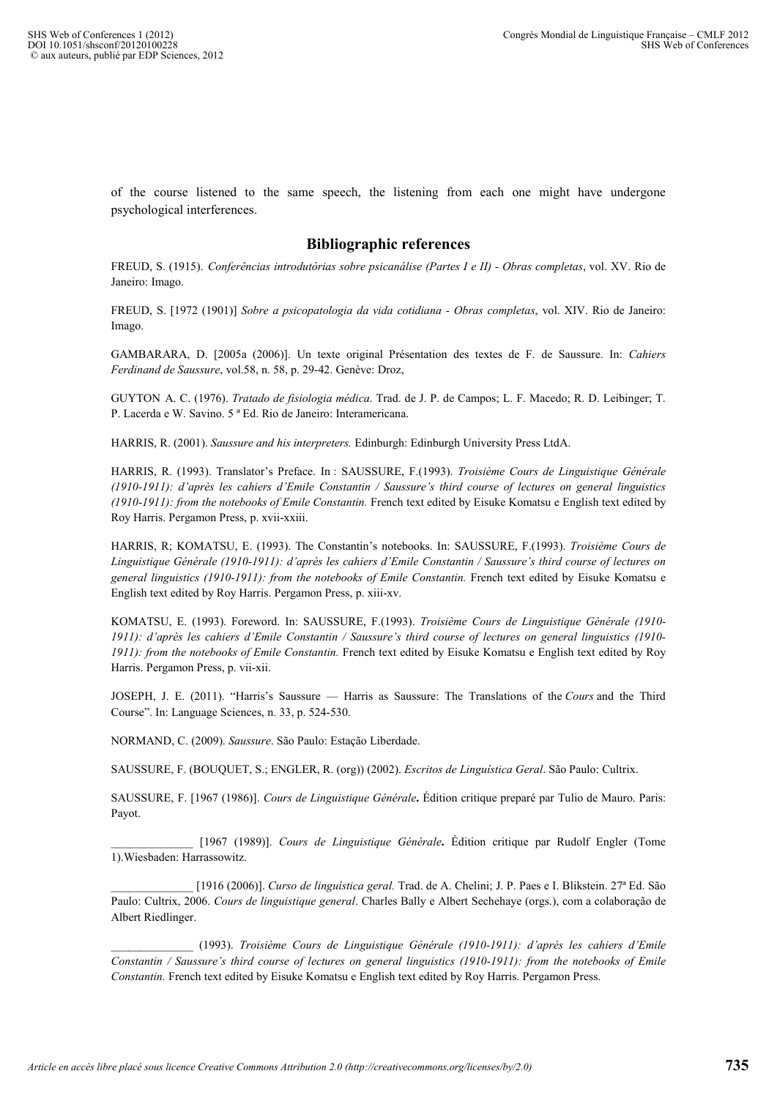of the course listened to the same speech, the listening from each one might have undergone psychological interferences.

#### **Bibliographic references**

FREUD, S. (1915). *Conferências introdutórias sobre psicanálise (Partes I e II) - Obras completas*, vol. XV. Rio de Janeiro: Imago.

FREUD, S. [1972 (1901)] *Sobre a psicopatologia da vida cotidiana - Obras completas*, vol. XIV. Rio de Janeiro: Imago.

GAMBARARA, D. [2005a (2006)]. Un texte original Présentation des textes de F. de Saussure. In: *Cahiers Ferdinand de Saussure*, vol.58, n. 58, p. 29-42. Genève: Droz,

GUYTON A. C. (1976). *Tratado de fisiologia médica*. Trad. de J. P. de Campos; L. F. Macedo; R. D. Leibinger; T. P. Lacerda e W. Savino. 5 ª Ed. Rio de Janeiro: Interamericana.

HARRIS, R. (2001). *Saussure and his interpreters.* Edinburgh: Edinburgh University Press LtdA.

HARRIS, R. (1993). Translator's Preface. In : SAUSSURE, F.(1993). *Troisième Cours de Linguistique Générale (1910-1911): d'après les cahiers d'Emile Constantin / Saussure's third course of lectures on general linguistics (1910-1911): from the notebooks of Emile Constantin.* French text edited by Eisuke Komatsu e English text edited by Roy Harris. Pergamon Press, p. xvii-xxiii.

HARRIS, R; KOMATSU, E. (1993). The Constantin's notebooks. In: SAUSSURE, F.(1993). *Troisième Cours de Linguistique Générale (1910-1911): d'après les cahiers d'Emile Constantin / Saussure's third course of lectures on general linguistics (1910-1911): from the notebooks of Emile Constantin.* French text edited by Eisuke Komatsu e English text edited by Roy Harris. Pergamon Press, p. xiii-xv.

KOMATSU, E. (1993). Foreword. In: SAUSSURE, F.(1993). *Troisième Cours de Linguistique Générale (1910- 1911): d'après les cahiers d'Emile Constantin / Saussure's third course of lectures on general linguistics (1910- 1911): from the notebooks of Emile Constantin.* French text edited by Eisuke Komatsu e English text edited by Roy Harris. Pergamon Press, p. vii-xii.

JOSEPH, J. E. (2011). "Harris's Saussure — Harris as Saussure: The Translations of the *Cours* and the Third Course". In: Language Sciences, n. 33, p. 524-530.

NORMAND, C. (2009). *Saussure*. São Paulo: Estação Liberdade.

SAUSSURE, F. (BOUQUET, S.; ENGLER, R. (org)) (2002). *Escritos de Linguística Geral*. São Paulo: Cultrix.

SAUSSURE, F. [1967 (1986)]. *Cours de Linguistique Générale***.** Édition critique preparé par Tulio de Mauro. Paris: Payot.

\_\_\_\_\_\_\_\_\_\_\_\_\_\_ [1967 (1989)]. *Cours de Linguistique Générale***.** Édition critique par Rudolf Engler (Tome 1).Wiesbaden: Harrassowitz.

\_\_\_\_\_\_\_\_\_\_\_\_\_\_ [1916 (2006)]. *Curso de linguística geral.* Trad. de A. Chelini; J. P. Paes e I. Blikstein. 27ª Ed. São Paulo: Cultrix, 2006. *Cours de linguistique general*. Charles Bally e Albert Sechehaye (orgs.), com a colaboração de Albert Riedlinger.

\_\_\_\_\_\_\_\_\_\_\_\_\_\_ (1993). *Troisième Cours de Linguistique Générale (1910-1911): d'après les cahiers d'Emile Constantin / Saussure's third course of lectures on general linguistics (1910-1911): from the notebooks of Emile Constantin.* French text edited by Eisuke Komatsu e English text edited by Roy Harris. Pergamon Press.